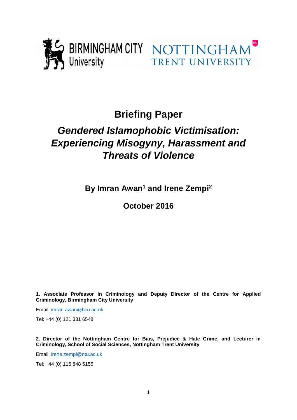

# **Briefing Paper**

# *Gendered Islamophobic Victimisation: Experiencing Misogyny, Harassment and Threats of Violence*

**By Imran Awan<sup>1</sup> and Irene Zempi<sup>2</sup>**

**October 2016**

**1. Associate Professor in Criminology and Deputy Director of the Centre for Applied Criminology, Birmingham City University**

Email: [imran.awan@bcu.ac.uk](mailto:imran.awan@bcu.ac.uk)

Tel: +44 (0) 121 331 6548

**2. Director of the Nottingham Centre for Bias, Prejudice & Hate Crime, and Lecturer in Criminology, School of Social Sciences, Nottingham Trent University**

Email: [irene.zempi@ntu.ac.uk](mailto:irene.zempi@ntu.ac.uk)

Tel: +44 (0) 115 848 5155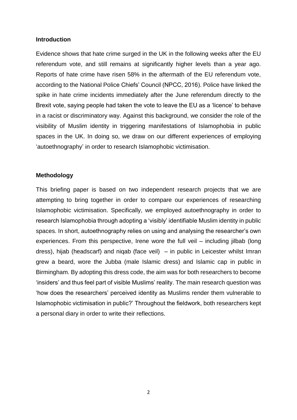#### **Introduction**

Evidence shows that hate crime surged in the UK in the following weeks after the EU referendum vote, and still remains at significantly higher levels than a year ago. Reports of hate crime have risen 58% in the aftermath of the EU referendum vote, according to the National Police Chiefs' Council (NPCC, 2016). Police have linked the spike in hate crime incidents immediately after the June referendum directly to the Brexit vote, saying people had taken the vote to leave the EU as a 'licence' to behave in a racist or discriminatory way. Against this background, we consider the role of the visibility of Muslim identity in triggering manifestations of Islamophobia in public spaces in the UK. In doing so, we draw on our different experiences of employing 'autoethnography' in order to research Islamophobic victimisation.

#### **Methodology**

This briefing paper is based on two independent research projects that we are attempting to bring together in order to compare our experiences of researching Islamophobic victimisation. Specifically, we employed autoethnography in order to research Islamophobia through adopting a 'visibly' identifiable Muslim identity in public spaces. In short, autoethnography relies on using and analysing the researcher's own experiences. From this perspective, Irene wore the full veil – including jilbab (long dress), hijab (headscarf) and niqab (face veil) – in public in Leicester whilst Imran grew a beard, wore the Jubba (male Islamic dress) and Islamic cap in public in Birmingham. By adopting this dress code, the aim was for both researchers to become 'insiders' and thus feel part of visible Muslims' reality. The main research question was 'how does the researchers' perceived identity as Muslims render them vulnerable to Islamophobic victimisation in public?' Throughout the fieldwork, both researchers kept a personal diary in order to write their reflections.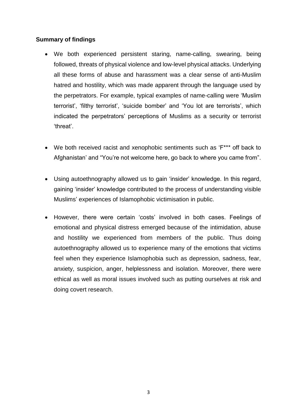# **Summary of findings**

- We both experienced persistent staring, name-calling, swearing, being followed, threats of physical violence and low-level physical attacks. Underlying all these forms of abuse and harassment was a clear sense of anti-Muslim hatred and hostility, which was made apparent through the language used by the perpetrators. For example, typical examples of name-calling were 'Muslim terrorist', 'filthy terrorist', 'suicide bomber' and 'You lot are terrorists', which indicated the perpetrators' perceptions of Muslims as a security or terrorist 'threat'.
- We both received racist and xenophobic sentiments such as 'F\*\*\* off back to Afghanistan' and "You're not welcome here, go back to where you came from".
- Using autoethnography allowed us to gain 'insider' knowledge. In this regard, gaining 'insider' knowledge contributed to the process of understanding visible Muslims' experiences of Islamophobic victimisation in public.
- However, there were certain 'costs' involved in both cases. Feelings of emotional and physical distress emerged because of the intimidation, abuse and hostility we experienced from members of the public. Thus doing autoethnography allowed us to experience many of the emotions that victims feel when they experience Islamophobia such as depression, sadness, fear, anxiety, suspicion, anger, helplessness and isolation. Moreover, there were ethical as well as moral issues involved such as putting ourselves at risk and doing covert research.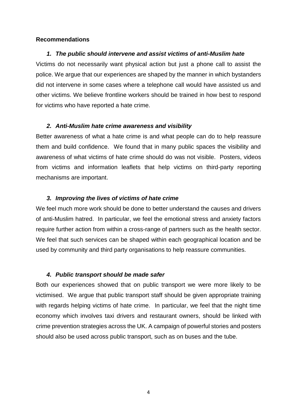#### **Recommendations**

### *1. The public should intervene and assist victims of anti-Muslim hate*

Victims do not necessarily want physical action but just a phone call to assist the police. We argue that our experiences are shaped by the manner in which bystanders did not intervene in some cases where a telephone call would have assisted us and other victims. We believe frontline workers should be trained in how best to respond for victims who have reported a hate crime.

### *2. Anti-Muslim hate crime awareness and visibility*

Better awareness of what a hate crime is and what people can do to help reassure them and build confidence. We found that in many public spaces the visibility and awareness of what victims of hate crime should do was not visible. Posters, videos from victims and information leaflets that help victims on third-party reporting mechanisms are important.

### *3. Improving the lives of victims of hate crime*

We feel much more work should be done to better understand the causes and drivers of anti-Muslim hatred. In particular, we feel the emotional stress and anxiety factors require further action from within a cross-range of partners such as the health sector. We feel that such services can be shaped within each geographical location and be used by community and third party organisations to help reassure communities.

#### *4. Public transport should be made safer*

Both our experiences showed that on public transport we were more likely to be victimised. We argue that public transport staff should be given appropriate training with regards helping victims of hate crime. In particular, we feel that the night time economy which involves taxi drivers and restaurant owners, should be linked with crime prevention strategies across the UK. A campaign of powerful stories and posters should also be used across public transport, such as on buses and the tube.